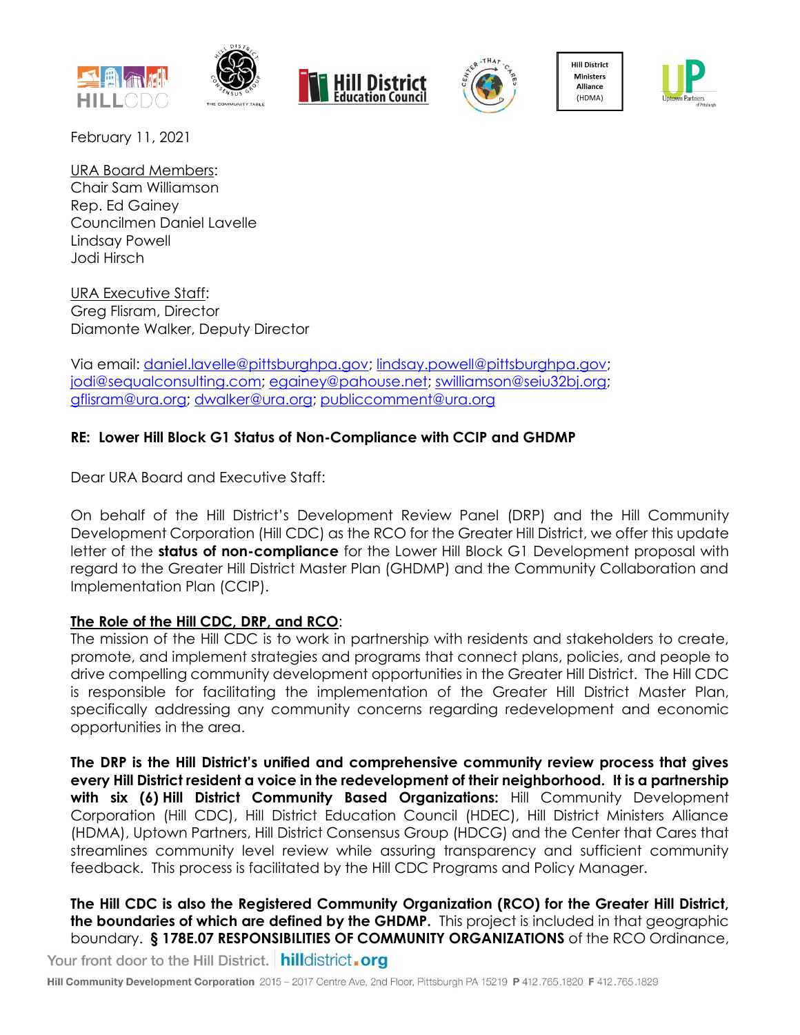







**Hill District** Ministers Alliance (HDMA)



February 11, 2021

URA Board Members: Chair Sam Williamson Rep. Ed Gainey Councilmen Daniel Lavelle Lindsay Powell Jodi Hirsch

URA Executive Staff: Greg Flisram, Director Diamonte Walker, Deputy Director

Via email: [daniel.lavelle@pittsburghpa.gov;](mailto:daniel.lavelle@pittsburghpa.gov) [lindsay.powell@pittsburghpa.gov;](mailto:lindsay.powell@pittsburghpa.gov) [jodi@sequalconsulting.com;](mailto:jodi@sequalconsulting.com) [egainey@pahouse.net;](mailto:egainey@pahouse.net) [swilliamson@seiu32bj.org;](mailto:swilliamson@seiu32bj.org) [gflisram@ura.org;](mailto:gflisram@ura.org) [dwalker@ura.org;](mailto:dwalker@ura.org) [publiccomment@ura.org](mailto:publiccomment@ura.org)

# **RE: Lower Hill Block G1 Status of Non-Compliance with CCIP and GHDMP**

Dear URA Board and Executive Staff:

On behalf of the Hill District's Development Review Panel (DRP) and the Hill Community Development Corporation (Hill CDC) as the RCO for the Greater Hill District, we offer this update letter of the **status of non-compliance** for the Lower Hill Block G1 Development proposal with regard to the Greater Hill District Master Plan (GHDMP) and the Community Collaboration and Implementation Plan (CCIP).

# **The Role of the Hill CDC, DRP, and RCO**:

The mission of the Hill CDC is to work in partnership with residents and stakeholders to create, promote, and implement strategies and programs that connect plans, policies, and people to drive compelling community development opportunities in the Greater Hill District. The Hill CDC is responsible for facilitating the implementation of the Greater Hill District Master Plan, specifically addressing any community concerns regarding redevelopment and economic opportunities in the area.

**The DRP is the Hill District's unified and comprehensive community review process that gives every Hill District resident a voice in the redevelopment of their neighborhood. It is a partnership with six (6) Hill District Community Based Organizations:** Hill Community Development Corporation (Hill CDC), Hill District Education Council (HDEC), Hill District Ministers Alliance (HDMA), Uptown Partners, Hill District Consensus Group (HDCG) and the Center that Cares that streamlines community level review while assuring transparency and sufficient community feedback. This process is facilitated by the Hill CDC Programs and Policy Manager.

**The Hill CDC is also the Registered Community Organization (RCO) for the Greater Hill District, the boundaries of which are defined by the GHDMP.** This project is included in that geographic boundary. **§ 178E.07 RESPONSIBILITIES OF COMMUNITY ORGANIZATIONS** of the RCO Ordinance, Your front door to the Hill District. | hilldistrict.org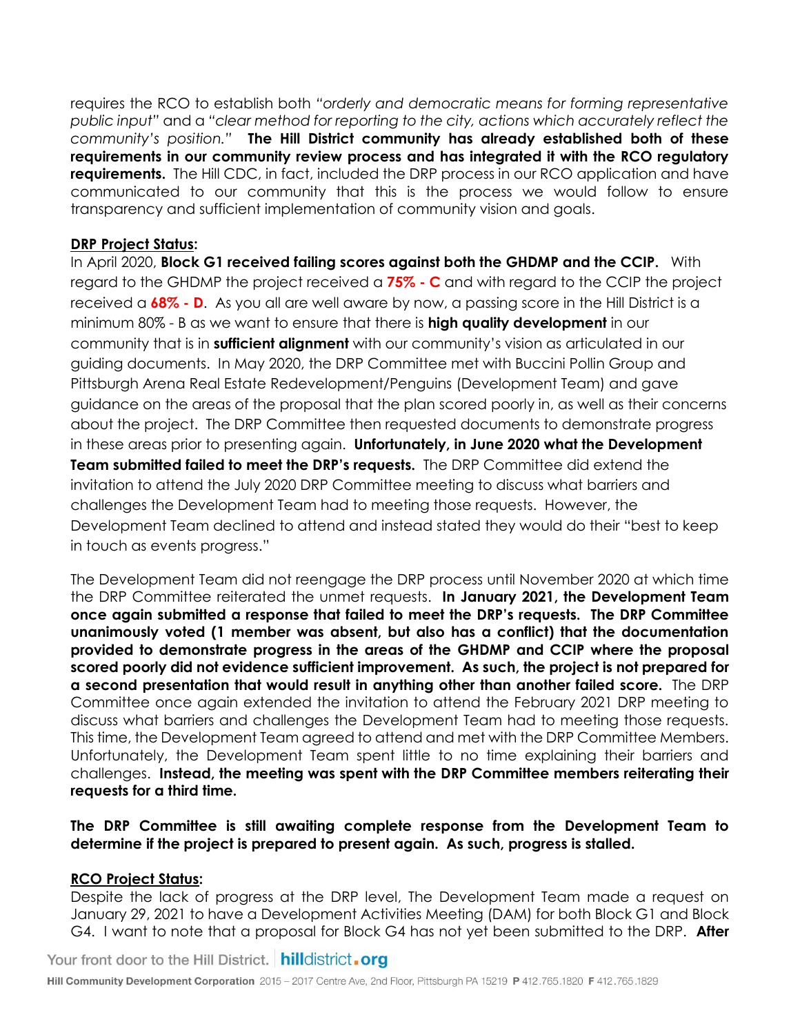requires the RCO to establish both *"orderly and democratic means for forming representative public input"* and a *"clear method for reporting to the city, actions which accurately reflect the community's position."* **The Hill District community has already established both of these requirements in our community review process and has integrated it with the RCO regulatory requirements.** The Hill CDC, in fact, included the DRP process in our RCO application and have communicated to our community that this is the process we would follow to ensure transparency and sufficient implementation of community vision and goals.

### **DRP Project Status:**

In April 2020, **Block G1 received failing scores against both the GHDMP and the CCIP.** With regard to the GHDMP the project received a **75% - C** and with regard to the CCIP the project received a **68% - D**. As you all are well aware by now, a passing score in the Hill District is a minimum 80% - B as we want to ensure that there is **high quality development** in our community that is in **sufficient alignment** with our community's vision as articulated in our guiding documents. In May 2020, the DRP Committee met with Buccini Pollin Group and Pittsburgh Arena Real Estate Redevelopment/Penguins (Development Team) and gave guidance on the areas of the proposal that the plan scored poorly in, as well as their concerns about the project. The DRP Committee then requested documents to demonstrate progress in these areas prior to presenting again. **Unfortunately, in June 2020 what the Development Team submitted failed to meet the DRP's requests.** The DRP Committee did extend the invitation to attend the July 2020 DRP Committee meeting to discuss what barriers and challenges the Development Team had to meeting those requests. However, the Development Team declined to attend and instead stated they would do their "best to keep in touch as events progress."

The Development Team did not reengage the DRP process until November 2020 at which time the DRP Committee reiterated the unmet requests. **In January 2021, the Development Team once again submitted a response that failed to meet the DRP's requests. The DRP Committee unanimously voted (1 member was absent, but also has a conflict) that the documentation provided to demonstrate progress in the areas of the GHDMP and CCIP where the proposal scored poorly did not evidence sufficient improvement. As such, the project is not prepared for a second presentation that would result in anything other than another failed score.** The DRP Committee once again extended the invitation to attend the February 2021 DRP meeting to discuss what barriers and challenges the Development Team had to meeting those requests. This time, the Development Team agreed to attend and met with the DRP Committee Members. Unfortunately, the Development Team spent little to no time explaining their barriers and challenges. **Instead, the meeting was spent with the DRP Committee members reiterating their requests for a third time.**

# **The DRP Committee is still awaiting complete response from the Development Team to determine if the project is prepared to present again. As such, progress is stalled.**

# **RCO Project Status:**

Despite the lack of progress at the DRP level, The Development Team made a request on January 29, 2021 to have a Development Activities Meeting (DAM) for both Block G1 and Block G4. I want to note that a proposal for Block G4 has not yet been submitted to the DRP. **After** 

Your front door to the Hill District. hilldistrict.org